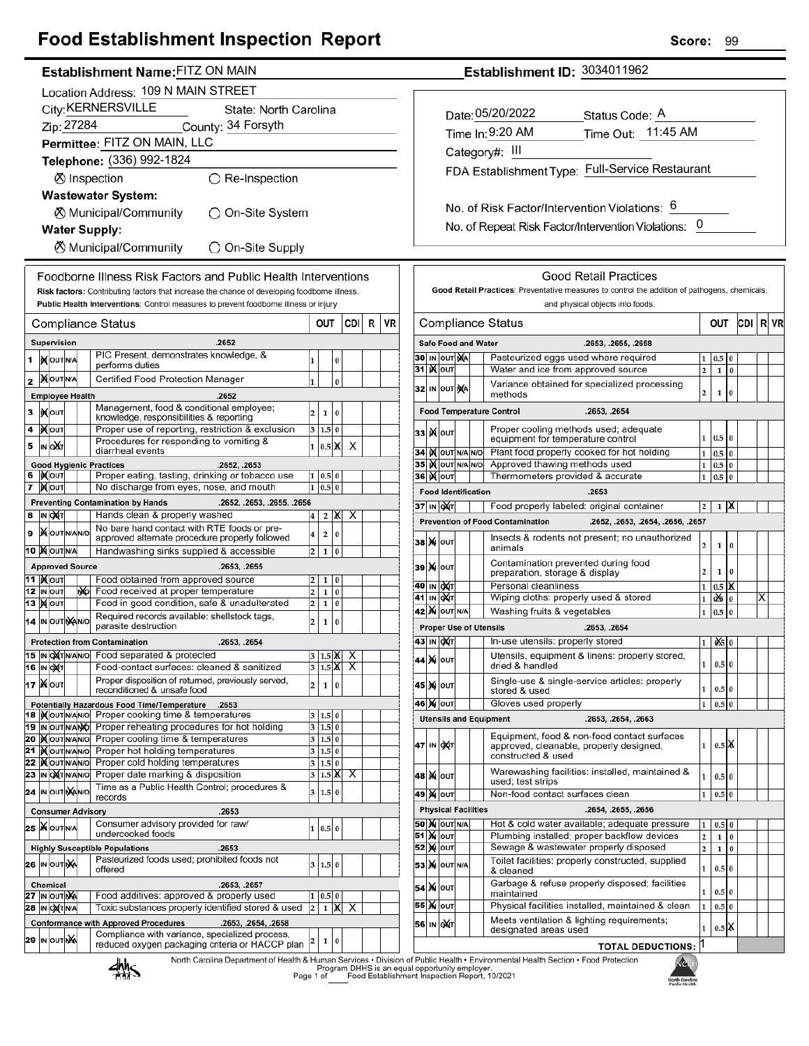## **Food Establishment Inspection Report**

## Establishment Name: FITZ ON MAIN

|    | Location Address: 109 N MAIN STREET         |                                              |  |     |                                                                                                                      |                         |                      |          |                              |   |    |  |  |
|----|---------------------------------------------|----------------------------------------------|--|-----|----------------------------------------------------------------------------------------------------------------------|-------------------------|----------------------|----------|------------------------------|---|----|--|--|
|    | City: KERNERSVILLE<br>State: North Carolina |                                              |  |     |                                                                                                                      |                         |                      |          |                              |   |    |  |  |
|    |                                             | Zip: 27284                                   |  |     | County: 34 Forsyth                                                                                                   |                         |                      |          |                              |   |    |  |  |
|    | Permittee: FITZ ON MAIN, LLC                |                                              |  |     |                                                                                                                      |                         |                      |          |                              |   |    |  |  |
|    |                                             |                                              |  |     | Telephone: (336) 992-1824                                                                                            |                         |                      |          |                              |   |    |  |  |
|    | ⊗ Inspection<br>$\bigcirc$ Re-Inspection    |                                              |  |     |                                                                                                                      |                         |                      |          |                              |   |    |  |  |
|    |                                             |                                              |  |     | <b>Wastewater System:</b>                                                                                            |                         |                      |          |                              |   |    |  |  |
|    | ⊗ Municipal/Community<br>)On-Site System    |                                              |  |     |                                                                                                                      |                         |                      |          |                              |   |    |  |  |
|    | <b>Water Supply:</b>                        |                                              |  |     |                                                                                                                      |                         |                      |          |                              |   |    |  |  |
|    |                                             |                                              |  |     | <b>8</b> Municipal/Community<br>O On-Site Supply                                                                     |                         |                      |          |                              |   |    |  |  |
|    |                                             |                                              |  |     | Foodborne Illness Risk Factors and Public Health Interventions                                                       |                         |                      |          |                              |   |    |  |  |
|    |                                             |                                              |  |     | Risk factors: Contributing factors that increase the chance of developing foodborne illness.                         |                         |                      |          |                              |   |    |  |  |
|    |                                             |                                              |  |     | Public Health Interventions: Control measures to prevent foodborne illness or injury                                 |                         |                      |          |                              |   |    |  |  |
|    |                                             |                                              |  |     | Compliance Status                                                                                                    |                         | OUT                  |          | CDI I                        | R | VR |  |  |
|    | Supervision<br>.2652                        |                                              |  |     |                                                                                                                      |                         |                      |          |                              |   |    |  |  |
| 1  |                                             | <b>XOUTNA</b>                                |  |     | PIC Present, demonstrates knowledge, &                                                                               | 1                       |                      | 0        |                              |   |    |  |  |
|    |                                             | <b>MOUTNA</b>                                |  |     | performs duties<br>Certified Food Protection Manager                                                                 |                         |                      |          |                              |   |    |  |  |
| 2  |                                             | <b>Employee Health</b>                       |  |     | .2652                                                                                                                | 1                       |                      | $\bf{0}$ |                              |   |    |  |  |
| 3  |                                             | <b>IXOUT</b>                                 |  |     | Management, food & conditional employee;                                                                             | 2                       | 1                    | 0        |                              |   |    |  |  |
| 4  |                                             | )Х∣оυт                                       |  |     | knowledge, responsibilities & reporting<br>Proper use of reporting, restriction & exclusion                          | 3                       | 1.5 0                |          |                              |   |    |  |  |
| 5  |                                             | IN OUT                                       |  |     | Procedures for responding to vomiting &                                                                              | 1                       | $0.5$ X              |          | х                            |   |    |  |  |
|    |                                             |                                              |  |     | diarrheal events                                                                                                     |                         |                      |          |                              |   |    |  |  |
| 6  |                                             | IXOUT                                        |  |     | <b>Good Hygienic Practices</b><br>.2652, .2653<br>Proper eating, tasting, drinking or tobacco use                    | 1                       | 0.5 0                |          |                              |   |    |  |  |
| 7  |                                             | <b>X</b> OUT                                 |  |     | No discharge from eyes, nose, and mouth                                                                              | 1                       | 0.5                  | 0        |                              |   |    |  |  |
|    |                                             |                                              |  |     | <b>Preventing Contamination by Hands</b><br>.2652, .2653, .2655, .2656                                               |                         |                      |          |                              |   |    |  |  |
| 8  |                                             | IN OXT                                       |  |     | Hands clean & properly washed<br>No bare hand contact with RTE foods or pre-                                         | 4                       | 2                    | x        | х                            |   |    |  |  |
| 9  |                                             | <b>X</b> OUTNANO                             |  |     | approved alternate procedure properly followed                                                                       | 4                       | 2                    | 0        |                              |   |    |  |  |
|    |                                             | 10 X OUTNA                                   |  |     | Handwashing sinks supplied & accessible                                                                              | 2                       | 1                    | 0        |                              |   |    |  |  |
|    |                                             | <b>Approved Source</b><br>11  ) <b>(</b> ouт |  |     | .2653, .2655<br>Food obtained from approved source                                                                   | 2                       | 1                    | 0        |                              |   |    |  |  |
|    |                                             | 12 IN OUT                                    |  | NO. | Food received at proper temperature                                                                                  | 2                       | 1                    | 0        |                              |   |    |  |  |
|    |                                             | <b>13  ) о</b> лт                            |  |     | Food in good condition, safe & unadulterated                                                                         | 2                       | 1                    | 0        |                              |   |    |  |  |
|    |                                             | 14 IN OUT NANO                               |  |     | Required records available: shellstock tags,<br>parasite destruction                                                 | $\overline{\mathbf{c}}$ | 1                    | 0        |                              |   |    |  |  |
|    |                                             |                                              |  |     | <b>Protection from Contamination</b><br>.2653, .2654                                                                 |                         |                      |          |                              |   |    |  |  |
|    |                                             | 15  IN OXTN/AN/O<br>16 IN OXT                |  |     | Food separated & protected<br>Food-contact surfaces: cleaned & sanitized                                             |                         | $1.5\,$ K<br>3 1.5 X |          | х<br>$\overline{\mathsf{x}}$ |   |    |  |  |
|    |                                             | <b>17 Ж</b> оит                              |  |     | Proper disposition of returned, previously served,                                                                   |                         |                      |          |                              |   |    |  |  |
|    |                                             |                                              |  |     | reconditioned & unsafe food                                                                                          | 2                       | 1                    | 0        |                              |   |    |  |  |
|    |                                             | 18 IN OUT N/AN/O                             |  |     | Potentially Hazardous Food Time/Temperature<br>.2653<br>Proper cooking time & temperatures                           | 3                       | 1.5                  | l 0      |                              |   |    |  |  |
|    |                                             | 19  IN OUTN/ANO                              |  |     | Proper reheating procedures for hot holding                                                                          | 3                       | 1.5 0                |          |                              |   |    |  |  |
| 21 |                                             | 20 MOUTNANO                                  |  |     | Proper cooling time & temperatures<br>Proper hot holding temperatures                                                | 3                       | 1.5 0                |          |                              |   |    |  |  |
| 22 |                                             | <b>KOUTNANO</b><br><b>KOUTNANO</b>           |  |     | Proper cold holding temperatures                                                                                     | 3<br>3                  | 1.5 0<br>1.5 0       |          |                              |   |    |  |  |
|    |                                             | 23 IN OXTNANO                                |  |     | Proper date marking & disposition                                                                                    | 3                       | $1.5\vert\text{X}$   |          | х                            |   |    |  |  |
|    |                                             | 24 IN OUT MANO                               |  |     | Time as a Public Health Control; procedures &<br>records                                                             | 3                       | 1.5 0                |          |                              |   |    |  |  |
|    |                                             | <b>Consumer Advisory</b>                     |  |     | .2653                                                                                                                |                         |                      |          |                              |   |    |  |  |
|    |                                             | 25 WOUTNA                                    |  |     | Consumer advisory provided for raw/<br>undercooked foods                                                             | 1                       | 0.5 0                |          |                              |   |    |  |  |
|    |                                             |                                              |  |     | .2653<br><b>Highly Susceptible Populations</b>                                                                       |                         |                      |          |                              |   |    |  |  |
|    |                                             | 26 IN OUTINA                                 |  |     | Pasteurized foods used; prohibited foods not<br>offered                                                              | 3                       | 1.5 0                |          |                              |   |    |  |  |
|    |                                             | <b>Chemical</b>                              |  |     | .2653, .2657                                                                                                         |                         |                      |          |                              |   |    |  |  |
|    |                                             | 27 IN OUT NA                                 |  |     | Food additives: approved & properly used                                                                             | 1                       | 0.5 0                |          |                              |   |    |  |  |
|    |                                             | 28  IN O <b>X</b> T N/A                      |  |     | Toxic substances properly identified stored & used                                                                   | $\overline{\mathbf{c}}$ | 1                    | Х        | Χ                            |   |    |  |  |
|    |                                             |                                              |  |     | <b>Conformance with Approved Procedures</b><br>.2653, .2654, .2658<br>Compliance with variance, specialized process, |                         |                      |          |                              |   |    |  |  |
|    |                                             | <b>29 IN OUT NA</b>                          |  |     | reduced oxygen packaging criteria or HACCP plan                                                                      | 2                       | 1                    | 0        |                              |   |    |  |  |
|    |                                             |                                              |  |     | North Carolina Denartment of Health & Human Services . Divisio<br><b><i><u>I</u></i></b>                             |                         |                      |          |                              |   |    |  |  |

Establishment ID: 3034011962

| Date: 05/20/2022 | Status Code: A                                  |
|------------------|-------------------------------------------------|
| Time In: 9:20 AM | Time Out: 11:45 AM                              |
| Category#: III   |                                                 |
|                  | FDA Establishment Type: Full-Service Restaurant |
|                  |                                                 |

No. of Risk Factor/Intervention Violations: 6 No. of Repeat Risk Factor/Intervention Violations: 0

|                                                       |                                                                                                                           |                                                                                                         |                                    |                            | <b>Good Retail Practices</b>                                                                                          |                         |              |          |     |   |    |
|-------------------------------------------------------|---------------------------------------------------------------------------------------------------------------------------|---------------------------------------------------------------------------------------------------------|------------------------------------|----------------------------|-----------------------------------------------------------------------------------------------------------------------|-------------------------|--------------|----------|-----|---|----|
|                                                       |                                                                                                                           |                                                                                                         |                                    |                            | Good Retail Practices: Preventative measures to control the addition of pathogens, chemicals,                         |                         |              |          |     |   |    |
|                                                       |                                                                                                                           |                                                                                                         |                                    |                            | and physical objects into foods.                                                                                      |                         |              |          |     |   |    |
|                                                       |                                                                                                                           |                                                                                                         |                                    |                            | Compliance Status                                                                                                     |                         | out          |          | CDI | R | VR |
|                                                       |                                                                                                                           |                                                                                                         |                                    | <b>Safe Food and Water</b> | .2653, .2655, .2658                                                                                                   |                         |              |          |     |   |    |
| 30                                                    | IN                                                                                                                        | OUT NA                                                                                                  |                                    |                            | Pasteurized eggs used where required                                                                                  | 1                       | 0.5          | 0        |     |   |    |
| 31                                                    |                                                                                                                           | <b>K</b> OUT                                                                                            | Water and ice from approved source |                            |                                                                                                                       |                         |              |          |     |   |    |
|                                                       |                                                                                                                           | 32 IN OUT NA                                                                                            |                                    |                            | Variance obtained for specialized processing<br>methods                                                               | $\overline{\mathbf{c}}$ | 1            | 0        |     |   |    |
| .2653, .2654<br><b>Food Temperature Control</b>       |                                                                                                                           |                                                                                                         |                                    |                            |                                                                                                                       |                         |              |          |     |   |    |
| 33                                                    |                                                                                                                           | <b>K</b> lout                                                                                           |                                    |                            | Proper cooling methods used; adequate<br>equipment for temperature control                                            | 1                       | 0.5          | $\bf{0}$ |     |   |    |
| 34                                                    |                                                                                                                           | IX OUT N/A N/O                                                                                          |                                    |                            | Plant food properly cooked for hot holding                                                                            | 1                       | 0.5          | 0        |     |   |    |
| 35                                                    |                                                                                                                           | IX OUT N/A N/O                                                                                          |                                    |                            | Approved thawing methods used                                                                                         | 1                       | 0.5          | $\bf{0}$ |     |   |    |
| 36                                                    |                                                                                                                           | out                                                                                                     |                                    |                            | Thermometers provided & accurate                                                                                      | 1                       | 0.5          | 0        |     |   |    |
|                                                       |                                                                                                                           |                                                                                                         |                                    | <b>Food Identification</b> | .2653                                                                                                                 |                         |              |          |     |   |    |
|                                                       |                                                                                                                           | 37 IN OXT                                                                                               |                                    |                            | Food properly labeled: original container                                                                             | 2                       | 1            | х        |     |   |    |
|                                                       |                                                                                                                           |                                                                                                         |                                    |                            | <b>Prevention of Food Contamination</b><br>.2652, .2653, .2654, .2656, .2657                                          |                         |              |          |     |   |    |
| 38                                                    |                                                                                                                           | <b>X</b> OUT                                                                                            |                                    |                            | Insects & rodents not present; no unauthorized<br>animals                                                             | 2                       | 1            | 0        |     |   |    |
| 39                                                    |                                                                                                                           | <b>X</b> OUT                                                                                            |                                    |                            | Contamination prevented during food<br>preparation, storage & display                                                 | $\overline{2}$          | 1            | 0        |     |   |    |
| 40                                                    |                                                                                                                           | IN OUT                                                                                                  |                                    |                            | Personal cleanliness                                                                                                  | 1                       | $0.5\,$      | х        |     |   |    |
| 41                                                    | IN                                                                                                                        | loX∣⊤                                                                                                   |                                    |                            | Wiping cloths: properly used & stored                                                                                 | $\mathbf{1}$            | Q\$          | 0        |     | х |    |
| <b>X</b> OUT N/A<br>Washing fruits & vegetables<br>42 |                                                                                                                           |                                                                                                         |                                    |                            |                                                                                                                       |                         |              |          |     |   |    |
|                                                       |                                                                                                                           |                                                                                                         |                                    |                            | <b>Proper Use of Utensils</b><br>.2653, .2654                                                                         |                         |              |          |     |   |    |
| 43                                                    |                                                                                                                           | IN OXT                                                                                                  |                                    |                            | In-use utensils: properly stored                                                                                      | 1                       | O\$          | $\bf{0}$ |     |   |    |
| 44                                                    | M                                                                                                                         | OUT                                                                                                     |                                    |                            | Utensils, equipment & linens: properly stored,<br>dried & handled                                                     | 1                       | 0.5 0        |          |     |   |    |
| 45                                                    |                                                                                                                           | <b>X</b> OUT                                                                                            |                                    |                            | Single-use & single-service articles: properly<br>stored & used                                                       | 1                       | 0.5 0        |          |     |   |    |
| 46                                                    | M                                                                                                                         | OUT                                                                                                     |                                    |                            | Gloves used properly                                                                                                  | $\mathbf{1}$            | 0.5          | $\bf{0}$ |     |   |    |
|                                                       |                                                                                                                           |                                                                                                         |                                    |                            | <b>Utensils and Equipment</b><br>.2653, .2654, .2663                                                                  |                         |              |          |     |   |    |
|                                                       | Equipment, food & non-food contact surfaces<br>47 IN OXT<br>approved, cleanable, properly designed,<br>constructed & used |                                                                                                         |                                    |                            |                                                                                                                       |                         | $0.5$ IX     |          |     |   |    |
| 48                                                    |                                                                                                                           | <b>M</b> OUT                                                                                            |                                    |                            | Warewashing facilities: installed, maintained &<br>used; test strips                                                  | $\mathbf{1}$            | 0.5 0        |          |     |   |    |
|                                                       |                                                                                                                           | 49  <b>)(</b>  ουτ                                                                                      |                                    |                            | Non-food contact surfaces clean                                                                                       | 1                       | 0.5          | $\bf{0}$ |     |   |    |
|                                                       |                                                                                                                           |                                                                                                         |                                    | <b>Physical Facilities</b> | .2654, .2655, .2656                                                                                                   |                         |              |          |     |   |    |
|                                                       | Hot & cold water available; adequate pressure<br><b>50   X</b>   OUT   N/A                                                |                                                                                                         |                                    |                            |                                                                                                                       |                         |              | $\bf{0}$ |     |   |    |
|                                                       |                                                                                                                           | 51 )X оuт                                                                                               |                                    |                            | 1<br>0.5<br>Plumbing installed; proper backflow devices<br>$\overline{2}$<br>0<br>1<br>$\overline{2}$<br>$\mathbf{1}$ |                         |              |          |     |   |    |
|                                                       |                                                                                                                           | Sewage & wastewater properly disposed<br><b>52 MOUT</b>                                                 |                                    |                            |                                                                                                                       |                         |              |          |     |   |    |
|                                                       |                                                                                                                           | <b>53 X OUT N/A</b>                                                                                     |                                    |                            | Toilet facilities: properly constructed, supplied<br>& cleaned                                                        | $\mathbf 1$             | 0.5 0        |          |     |   |    |
|                                                       |                                                                                                                           | Garbage & refuse properly disposed; facilities<br>54   X   оит<br>1<br>maintained<br>55 ) <b>X</b>  оυт |                                    |                            |                                                                                                                       |                         |              |          |     |   |    |
|                                                       |                                                                                                                           |                                                                                                         |                                    |                            | Physical facilities installed, maintained & clean<br>Meets ventilation & lighting requirements;                       | $\mathbf{1}$            | 0.5 0        |          |     |   |    |
|                                                       |                                                                                                                           | 56 IN OXT                                                                                               |                                    |                            | designated areas used                                                                                                 | $\mathbf{1}$<br>11      | $0.5$ $\chi$ |          |     |   |    |
|                                                       |                                                                                                                           |                                                                                                         |                                    |                            | <b>TOTAL DEDUCTIONS:</b>                                                                                              |                         |              |          |     |   |    |



 $\overline{1}$ 

99

Score: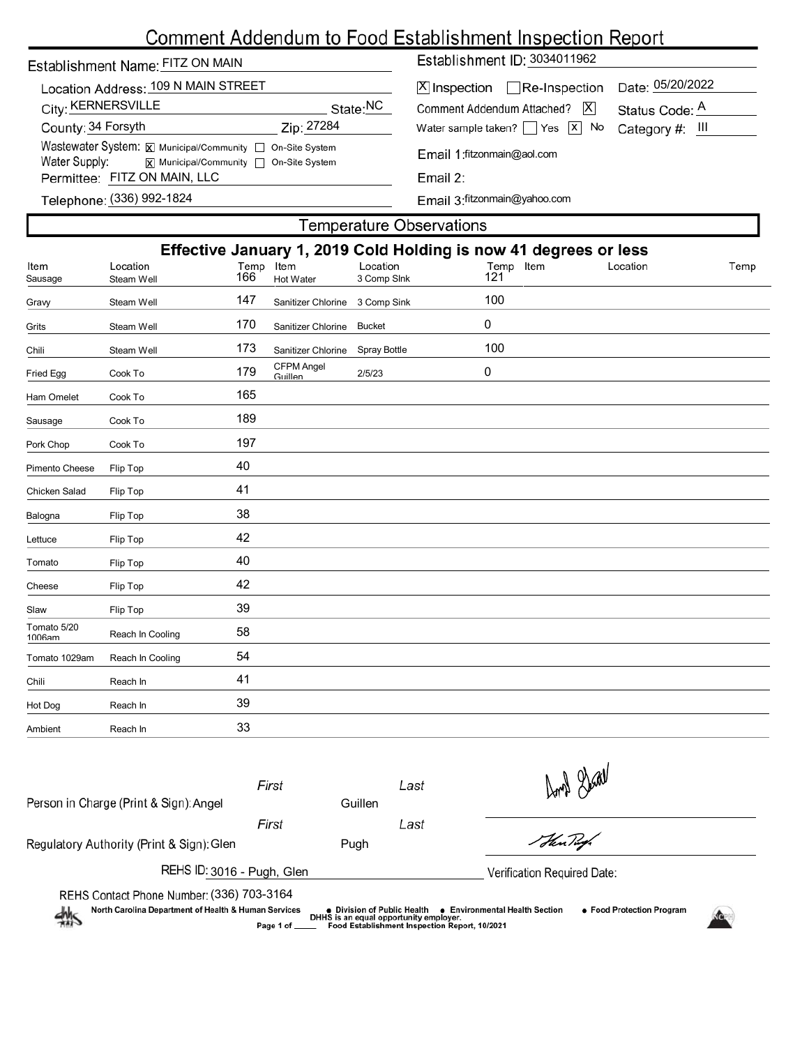# Comment Addendum to Food Establishment Inspection Report

| Establishment Name: FITZ ON MAIN                                                                                                       |            | Establishment ID: 3034011962                                               |                                    |  |  |  |  |
|----------------------------------------------------------------------------------------------------------------------------------------|------------|----------------------------------------------------------------------------|------------------------------------|--|--|--|--|
| Location Address: 109 N MAIN STREET<br>City: KERNERSVILLE                                                                              | State:NC   | $[X]$ Inspection $\Box$ Re-Inspection<br> X <br>Comment Addendum Attached? | Date: 05/20/2022<br>Status Code: A |  |  |  |  |
| County: 34 Forsyth                                                                                                                     | Zip: 27284 | Water sample taken? $\Box$ Yes $\Box$ No                                   | Category #: III                    |  |  |  |  |
| Wastewater System: X Municipal/Community   On-Site System<br>Water Supply:<br>$\overline{x}$ Municipal/Community $\Box$ On-Site System |            | Email 1: fitzonmain@aol.com                                                |                                    |  |  |  |  |
| Permittee: FITZ ON MAIN, LLC                                                                                                           |            | Email $2:$                                                                 |                                    |  |  |  |  |
| Telephone: (336) 992-1824                                                                                                              |            | Email 3: fitzonmain@yahoo.com                                              |                                    |  |  |  |  |

I

|                       | Effective January 1, 2019 Cold Holding is now 41 degrees or less |                  |                              |                         |                  |          |      |  |  |  |
|-----------------------|------------------------------------------------------------------|------------------|------------------------------|-------------------------|------------------|----------|------|--|--|--|
| Item<br>Sausage       | Location<br>Steam Well                                           | Temp Item<br>166 | Hot Water                    | Location<br>3 Comp Slnk | Temp Item<br>121 | Location | Temp |  |  |  |
| Gravy                 | Steam Well                                                       | 147              | Sanitizer Chlorine           | 3 Comp Sink             | 100              |          |      |  |  |  |
| Grits                 | Steam Well                                                       | 170              | Sanitizer Chlorine           | <b>Bucket</b>           | 0                |          |      |  |  |  |
| Chili                 | Steam Well                                                       | 173              | Sanitizer Chlorine           | Spray Bottle            | 100              |          |      |  |  |  |
| Fried Egg             | Cook To                                                          | 179              | <b>CFPM Angel</b><br>Guillen | 2/5/23                  | 0                |          |      |  |  |  |
| Ham Omelet            | Cook To                                                          | 165              |                              |                         |                  |          |      |  |  |  |
| Sausage               | Cook To                                                          | 189              |                              |                         |                  |          |      |  |  |  |
| Pork Chop             | Cook To                                                          | 197              |                              |                         |                  |          |      |  |  |  |
| Pimento Cheese        | Flip Top                                                         | 40               |                              |                         |                  |          |      |  |  |  |
| Chicken Salad         | Flip Top                                                         | 41               |                              |                         |                  |          |      |  |  |  |
| Balogna               | Flip Top                                                         | 38               |                              |                         |                  |          |      |  |  |  |
| Lettuce               | Flip Top                                                         | 42               |                              |                         |                  |          |      |  |  |  |
| Tomato                | Flip Top                                                         | 40               |                              |                         |                  |          |      |  |  |  |
| Cheese                | Flip Top                                                         | 42               |                              |                         |                  |          |      |  |  |  |
| Slaw                  | Flip Top                                                         | 39               |                              |                         |                  |          |      |  |  |  |
| Tomato 5/20<br>1006am | Reach In Cooling                                                 | 58               |                              |                         |                  |          |      |  |  |  |
| Tomato 1029am         | Reach In Cooling                                                 | 54               |                              |                         |                  |          |      |  |  |  |
| Chili                 | Reach In                                                         | 41               |                              |                         |                  |          |      |  |  |  |
| Hot Dog               | Reach In                                                         | 39               |                              |                         |                  |          |      |  |  |  |
| Ambient               | Reach In                                                         | 33               |                              |                         |                  |          |      |  |  |  |
|                       |                                                                  |                  |                              |                         |                  |          |      |  |  |  |

| Person in Charge (Print & Sign): Angel                                                                                                                                                                                                                                                                                       | First<br>Guillen |      | Last | Don't Stall                 |  |  |  |
|------------------------------------------------------------------------------------------------------------------------------------------------------------------------------------------------------------------------------------------------------------------------------------------------------------------------------|------------------|------|------|-----------------------------|--|--|--|
|                                                                                                                                                                                                                                                                                                                              | First            |      | Last |                             |  |  |  |
| Regulatory Authority (Print & Sign): Glen                                                                                                                                                                                                                                                                                    |                  | Pugh |      | Hen Tugh                    |  |  |  |
| REHS ID: 3016 - Pugh, Glen                                                                                                                                                                                                                                                                                                   |                  |      |      | Verification Required Date: |  |  |  |
| REHS Contact Phone Number: (336) 703-3164<br>North Carolina Department of Health & Human Services<br>• Food Protection Program<br>$\bullet\,$ Division of Public Health<br>● Environmental Health Section<br>鱂<br>DHHS is an equal opportunity employer.<br>Food Establishment Inspection Report, 10/2021<br>Page 1 of _____ |                  |      |      |                             |  |  |  |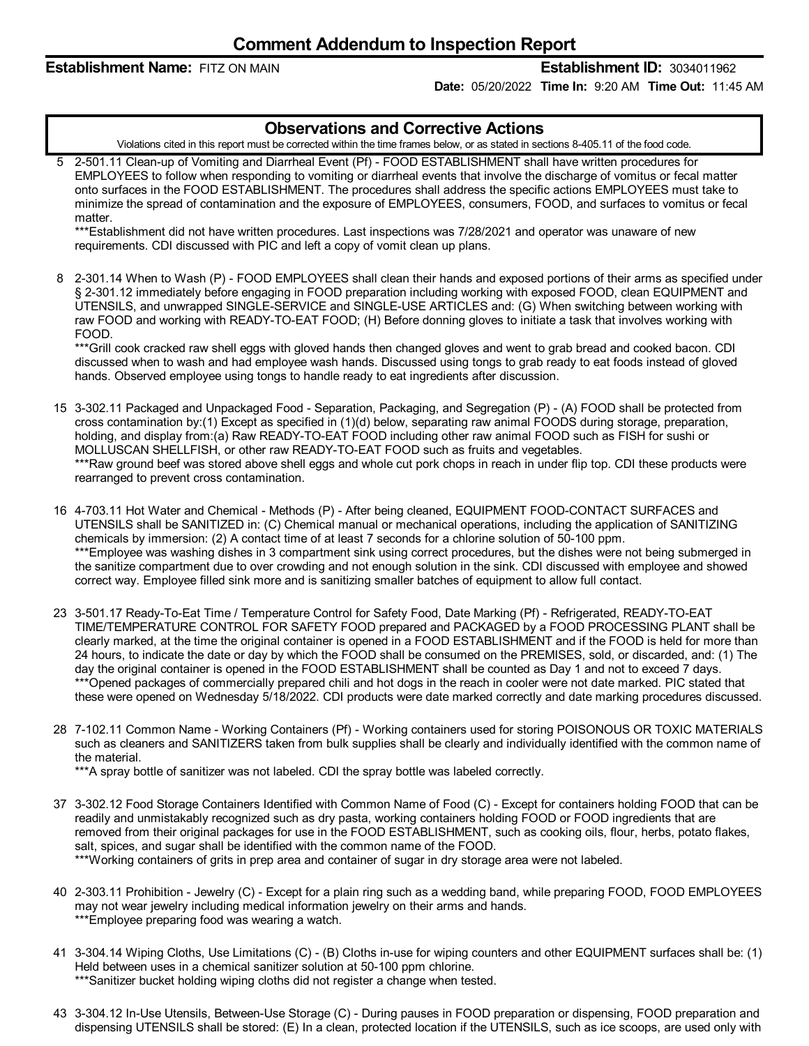**Establishment Name:** FITZ ON MAIN **Establishment ID:** 3034011962

**Date:** 05/20/2022 **Time In:** 9:20 AM **Time Out:** 11:45 AM

### **Observations and Corrective Actions**

Violations cited in this report must be corrected within the time frames below, or as stated in sections 8-405.11 of the food code.

5 2-501.11 Clean-up of Vomiting and Diarrheal Event (Pf) - FOOD ESTABLISHMENT shall have written procedures for EMPLOYEES to follow when responding to vomiting or diarrheal events that involve the discharge of vomitus or fecal matter onto surfaces in the FOOD ESTABLISHMENT. The procedures shall address the specific actions EMPLOYEES must take to minimize the spread of contamination and the exposure of EMPLOYEES, consumers, FOOD, and surfaces to vomitus or fecal matter.

\*\*\*Establishment did not have written procedures. Last inspections was 7/28/2021 and operator was unaware of new requirements. CDI discussed with PIC and left a copy of vomit clean up plans.

8 2-301.14 When to Wash (P) - FOOD EMPLOYEES shall clean their hands and exposed portions of their arms as specified under § 2-301.12 immediately before engaging in FOOD preparation including working with exposed FOOD, clean EQUIPMENT and UTENSILS, and unwrapped SINGLE-SERVICE and SINGLE-USE ARTICLES and: (G) When switching between working with raw FOOD and working with READY-TO-EAT FOOD; (H) Before donning gloves to initiate a task that involves working with FOOD.

\*\*\*Grill cook cracked raw shell eggs with gloved hands then changed gloves and went to grab bread and cooked bacon. CDI discussed when to wash and had employee wash hands. Discussed using tongs to grab ready to eat foods instead of gloved hands. Observed employee using tongs to handle ready to eat ingredients after discussion.

- 15 3-302.11 Packaged and Unpackaged Food Separation, Packaging, and Segregation (P) (A) FOOD shall be protected from cross contamination by:(1) Except as specified in (1)(d) below, separating raw animal FOODS during storage, preparation, holding, and display from:(a) Raw READY-TO-EAT FOOD including other raw animal FOOD such as FISH for sushi or MOLLUSCAN SHELLFISH, or other raw READY-TO-EAT FOOD such as fruits and vegetables. \*\*\*Raw ground beef was stored above shell eggs and whole cut pork chops in reach in under flip top. CDI these products were rearranged to prevent cross contamination.
- 16 4-703.11 Hot Water and Chemical Methods (P) After being cleaned, EQUIPMENT FOOD-CONTACT SURFACES and UTENSILS shall be SANITIZED in: (C) Chemical manual or mechanical operations, including the application of SANITIZING chemicals by immersion: (2) A contact time of at least 7 seconds for a chlorine solution of 50-100 ppm. \*\*\*Employee was washing dishes in 3 compartment sink using correct procedures, but the dishes were not being submerged in the sanitize compartment due to over crowding and not enough solution in the sink. CDI discussed with employee and showed correct way. Employee filled sink more and is sanitizing smaller batches of equipment to allow full contact.
- 23 3-501.17 Ready-To-Eat Time / Temperature Control for Safety Food, Date Marking (Pf) Refrigerated, READY-TO-EAT TIME/TEMPERATURE CONTROL FOR SAFETY FOOD prepared and PACKAGED by a FOOD PROCESSING PLANT shall be clearly marked, at the time the original container is opened in a FOOD ESTABLISHMENT and if the FOOD is held for more than 24 hours, to indicate the date or day by which the FOOD shall be consumed on the PREMISES, sold, or discarded, and: (1) The day the original container is opened in the FOOD ESTABLISHMENT shall be counted as Day 1 and not to exceed 7 days. \*\*\*Opened packages of commercially prepared chili and hot dogs in the reach in cooler were not date marked. PIC stated that these were opened on Wednesday 5/18/2022. CDI products were date marked correctly and date marking procedures discussed.
- 28 7-102.11 Common Name Working Containers (Pf) Working containers used for storing POISONOUS OR TOXIC MATERIALS such as cleaners and SANITIZERS taken from bulk supplies shall be clearly and individually identified with the common name of the material.

\*\*\*A spray bottle of sanitizer was not labeled. CDI the spray bottle was labeled correctly.

- 37 3-302.12 Food Storage Containers Identified with Common Name of Food (C) Except for containers holding FOOD that can be readily and unmistakably recognized such as dry pasta, working containers holding FOOD or FOOD ingredients that are removed from their original packages for use in the FOOD ESTABLISHMENT, such as cooking oils, flour, herbs, potato flakes, salt, spices, and sugar shall be identified with the common name of the FOOD. \*\*\*Working containers of grits in prep area and container of sugar in dry storage area were not labeled.
- 40 2-303.11 Prohibition Jewelry (C) Except for a plain ring such as a wedding band, while preparing FOOD, FOOD EMPLOYEES may not wear jewelry including medical information jewelry on their arms and hands. \*\*\*Employee preparing food was wearing a watch.
- 41 3-304.14 Wiping Cloths, Use Limitations (C) (B) Cloths in-use for wiping counters and other EQUIPMENT surfaces shall be: (1) Held between uses in a chemical sanitizer solution at 50-100 ppm chlorine. \*\*\*Sanitizer bucket holding wiping cloths did not register a change when tested.
- 43 3-304.12 In-Use Utensils, Between-Use Storage (C) During pauses in FOOD preparation or dispensing, FOOD preparation and dispensing UTENSILS shall be stored: (E) In a clean, protected location if the UTENSILS, such as ice scoops, are used only with